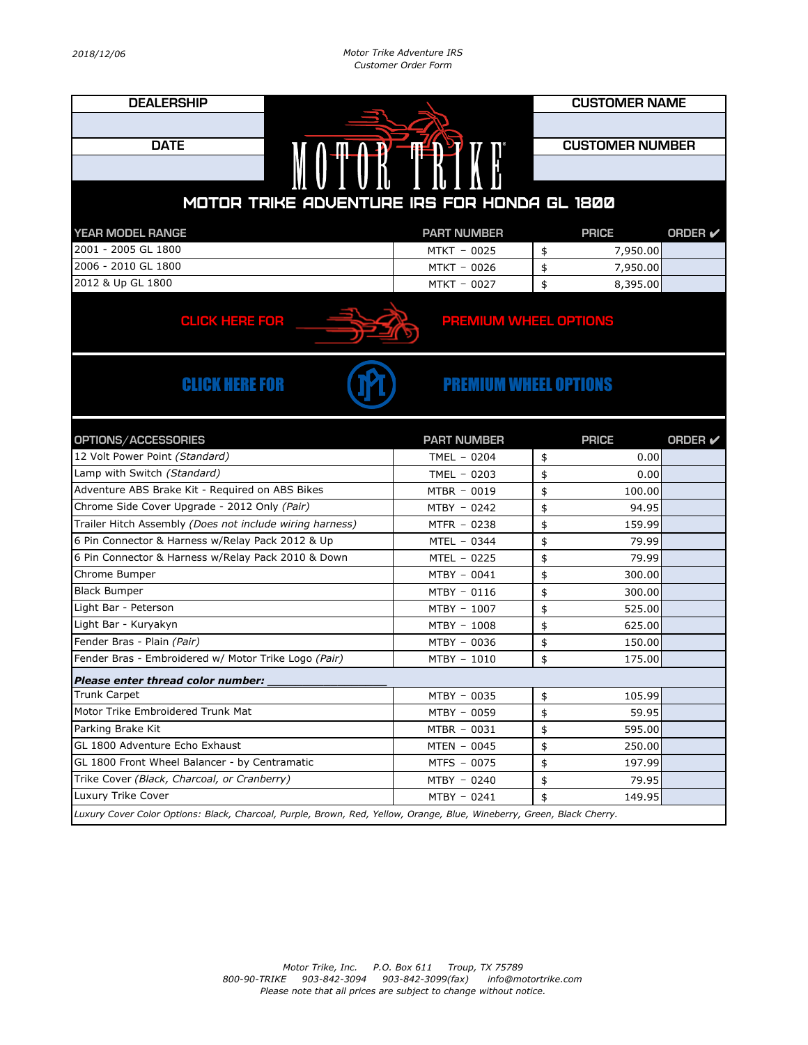| <b>DEALERSHIP</b>                                        |                    |    | <b>CUSTOMER NAME</b>   |                |  |  |  |  |
|----------------------------------------------------------|--------------------|----|------------------------|----------------|--|--|--|--|
|                                                          |                    |    |                        |                |  |  |  |  |
| <b>DATE</b>                                              |                    |    | <b>CUSTOMER NUMBER</b> |                |  |  |  |  |
| MOTOR TRING                                              |                    |    |                        |                |  |  |  |  |
|                                                          |                    |    |                        |                |  |  |  |  |
| MOTOR TRIKE ADVENTURE IRS FOR HONDA GL 1800              |                    |    |                        |                |  |  |  |  |
| YEAR MODEL RANGE                                         | <b>PART NUMBER</b> |    | <b>PRICE</b>           | <b>ORDER</b> ✔ |  |  |  |  |
| 2001 - 2005 GL 1800                                      | MTKT - 0025        | \$ | 7,950.00               |                |  |  |  |  |
| 2006 - 2010 GL 1800                                      | MTKT - 0026        | \$ | 7,950.00               |                |  |  |  |  |
| 2012 & Up GL 1800                                        | MTKT - 0027        | \$ | 8,395.00               |                |  |  |  |  |
| <b>CLICK HERE FOR</b><br><b>PREMIUM WHEEL OPTIONS</b>    |                    |    |                        |                |  |  |  |  |
| <b>CLICK HERE FOR</b><br><b>PREMIUM WHEEL OPTIONS</b>    |                    |    |                        |                |  |  |  |  |
| OPTIONS/ACCESSORIES                                      | <b>PART NUMBER</b> |    | <b>PRICE</b>           | <b>ORDER</b>   |  |  |  |  |
| 12 Volt Power Point (Standard)                           | TMEL - 0204        | \$ | 0.00                   |                |  |  |  |  |
| Lamp with Switch (Standard)                              | TMEL $-0203$       | \$ | 0.00                   |                |  |  |  |  |
| Adventure ABS Brake Kit - Required on ABS Bikes          | MTBR - 0019        | \$ | 100.00                 |                |  |  |  |  |
| Chrome Side Cover Upgrade - 2012 Only (Pair)             | MTBY - 0242        | \$ | 94.95                  |                |  |  |  |  |
| Trailer Hitch Assembly (Does not include wiring harness) | MTFR - 0238        | \$ | 159.99                 |                |  |  |  |  |
| 6 Pin Connector & Harness w/Relay Pack 2012 & Up         | MTEL - 0344        | \$ | 79.99                  |                |  |  |  |  |
| 6 Pin Connector & Harness w/Relay Pack 2010 & Down       | $MTEL - 0225$      | \$ | 79.99                  |                |  |  |  |  |
| Chrome Bumper                                            | MTBY - 0041        | \$ | 300.00                 |                |  |  |  |  |
| <b>Black Bumper</b>                                      | MTBY - 0116        | \$ | 300.00                 |                |  |  |  |  |
| Light Bar - Peterson                                     | MTBY - 1007        | \$ | 525.00                 |                |  |  |  |  |
| Light Bar - Kuryakyn                                     | MTBY - 1008        | \$ | 625.00                 |                |  |  |  |  |
| Fender Bras - Plain (Pair)                               | MTBY - 0036        | \$ | 150.00                 |                |  |  |  |  |
| Fender Bras - Embroidered w/ Motor Trike Logo (Pair)     | MTBY - 1010        | \$ | 175.00                 |                |  |  |  |  |
| Please enter thread color number:                        |                    |    |                        |                |  |  |  |  |
| <b>Trunk Carpet</b>                                      | MTBY - 0035        | \$ | 105.99                 |                |  |  |  |  |
| Motor Trike Embroidered Trunk Mat                        | MTBY - 0059        | \$ | 59.95                  |                |  |  |  |  |
| Parking Brake Kit                                        | $MTBR - 0031$      | \$ | 595.00                 |                |  |  |  |  |
| GL 1800 Adventure Echo Exhaust                           | MTEN - 0045        | \$ | 250.00                 |                |  |  |  |  |
| GL 1800 Front Wheel Balancer - by Centramatic            | MTFS - 0075        | \$ | 197.99                 |                |  |  |  |  |
| Trike Cover (Black, Charcoal, or Cranberry)              | MTBY - 0240        | \$ | 79.95                  |                |  |  |  |  |
| Luxury Trike Cover                                       |                    |    |                        |                |  |  |  |  |
|                                                          | MTBY - 0241        | \$ | 149.95                 |                |  |  |  |  |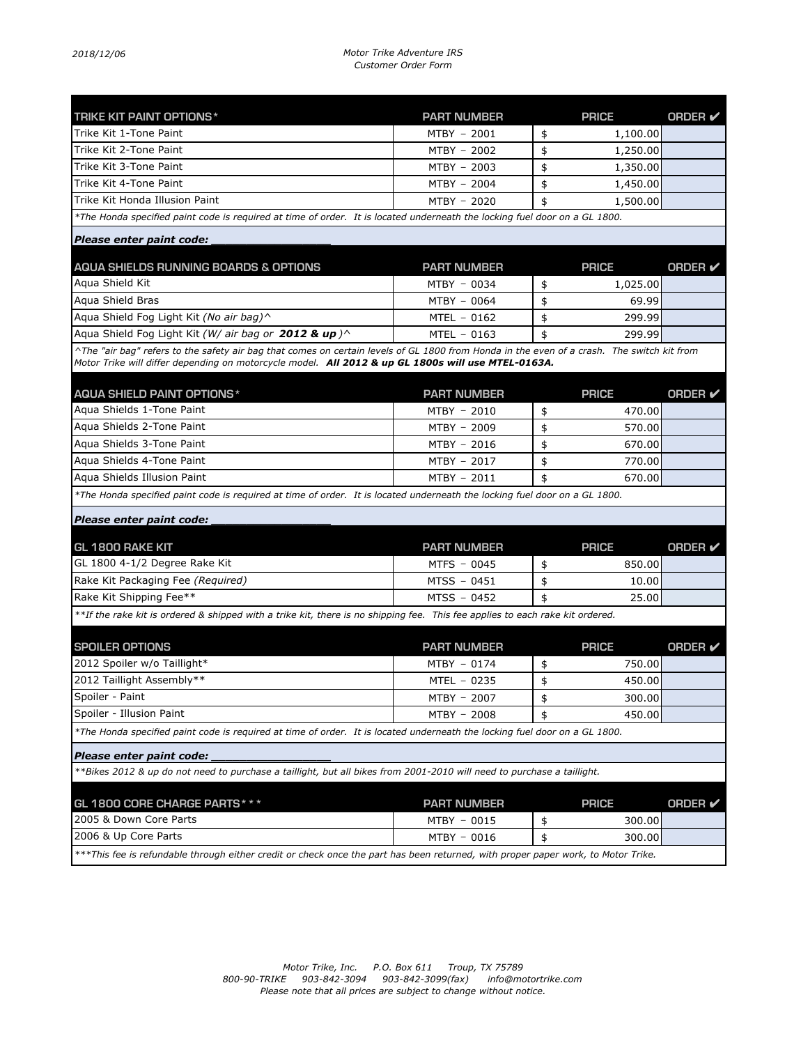## *2018/12/06 Motor Trike Adventure IRS Customer Order Form*

| <b>TRIKE KIT PAINT OPTIONS*</b>                                                                                                                           | <b>PART NUMBER</b> | <b>PRICE</b>   | ORDER V        |
|-----------------------------------------------------------------------------------------------------------------------------------------------------------|--------------------|----------------|----------------|
| Trike Kit 1-Tone Paint                                                                                                                                    | MTBY - 2001        | \$<br>1,100.00 |                |
| Trike Kit 2-Tone Paint                                                                                                                                    | MTBY - 2002        | \$<br>1,250.00 |                |
| Trike Kit 3-Tone Paint                                                                                                                                    | MTBY - 2003        | \$<br>1,350.00 |                |
| Trike Kit 4-Tone Paint                                                                                                                                    | MTBY - 2004        | \$<br>1,450.00 |                |
| Trike Kit Honda Illusion Paint                                                                                                                            | MTBY - 2020        | \$<br>1,500.00 |                |
| *The Honda specified paint code is required at time of order. It is located underneath the locking fuel door on a GL 1800.                                |                    |                |                |
| Please enter paint code:                                                                                                                                  |                    |                |                |
| AQUA SHIELDS RUNNING BOARDS & OPTIONS                                                                                                                     | <b>PART NUMBER</b> | <b>PRICE</b>   | <b>ORDER</b> ⊭ |
| Agua Shield Kit                                                                                                                                           | MTBY - 0034        | \$<br>1,025.00 |                |
| Agua Shield Bras                                                                                                                                          | MTBY - 0064        | \$<br>69.99    |                |
| Aqua Shield Fog Light Kit (No air bag)^                                                                                                                   | MTEL - 0162        | \$<br>299.99   |                |
| Aqua Shield Fog Light Kit (W/ air bag or 2012 & up) $\wedge$                                                                                              | $MTEL - 0163$      | \$<br>299.99   |                |
| ^The "air bag" refers to the safety air bag that comes on certain levels of GL 1800 from Honda in the even of a crash. The switch kit from                |                    |                |                |
| Motor Trike will differ depending on motorcycle model. All 2012 & up GL 1800s will use MTEL-0163A.                                                        |                    |                |                |
| <b>AQUA SHIELD PAINT OPTIONS*</b>                                                                                                                         | <b>PART NUMBER</b> | <b>PRICE</b>   | <b>ORDER</b> ⊭ |
| Agua Shields 1-Tone Paint                                                                                                                                 | MTBY - 2010        | \$<br>470.00   |                |
| Agua Shields 2-Tone Paint                                                                                                                                 | MTBY - 2009        | \$<br>570.00   |                |
| Agua Shields 3-Tone Paint                                                                                                                                 | MTBY - 2016        | \$<br>670.00   |                |
| Aqua Shields 4-Tone Paint                                                                                                                                 | MTBY - 2017        | \$<br>770.00   |                |
| Agua Shields Illusion Paint                                                                                                                               | MTBY - 2011        | \$<br>670.00   |                |
| *The Honda specified paint code is required at time of order. It is located underneath the locking fuel door on a GL 1800.                                |                    |                |                |
| Please enter paint code:                                                                                                                                  |                    |                |                |
| <b>GL 1800 RAKE KIT</b>                                                                                                                                   | <b>PART NUMBER</b> | <b>PRICE</b>   | ORDER V        |
| GL 1800 4-1/2 Degree Rake Kit                                                                                                                             | MTFS - 0045        | \$<br>850.00   |                |
| Rake Kit Packaging Fee (Required)                                                                                                                         | MTSS - 0451        | \$<br>10.00    |                |
| Rake Kit Shipping Fee**                                                                                                                                   | MTSS - 0452        | \$<br>25.00    |                |
|                                                                                                                                                           |                    |                |                |
| **If the rake kit is ordered & shipped with a trike kit, there is no shipping fee. This fee applies to each rake kit ordered.                             |                    |                |                |
| <b>SPOILER OPTIONS</b>                                                                                                                                    | <b>PART NUMBER</b> | <b>PRICE</b>   | <b>ORDER</b> ⊭ |
| 2012 Spoiler w/o Taillight*                                                                                                                               | MTBY - 0174        | \$<br>750.00   |                |
| 2012 Taillight Assembly**                                                                                                                                 | MTEL - 0235        | \$<br>450.00   |                |
| Spoiler - Paint                                                                                                                                           | MTBY - 2007        | \$<br>300.00   |                |
| Spoiler - Illusion Paint                                                                                                                                  | MTBY - 2008        | \$<br>450.00   |                |
| *The Honda specified paint code is required at time of order. It is located underneath the locking fuel door on a GL 1800.                                |                    |                |                |
| Please enter paint code:                                                                                                                                  |                    |                |                |
| **Bikes 2012 & up do not need to purchase a taillight, but all bikes from 2001-2010 will need to purchase a taillight.                                    |                    |                |                |
|                                                                                                                                                           |                    |                |                |
|                                                                                                                                                           |                    |                |                |
| GL 1800 CORE CHARGE PARTS * * *                                                                                                                           | <b>PART NUMBER</b> | <b>PRICE</b>   | <b>ORDER</b> ✔ |
| 2005 & Down Core Parts                                                                                                                                    | MTBY - 0015        | \$<br>300.00   |                |
| 2006 & Up Core Parts<br>***This fee is refundable through either credit or check once the part has been returned, with proper paper work, to Motor Trike. | MTBY - 0016        | \$<br>300.00   |                |